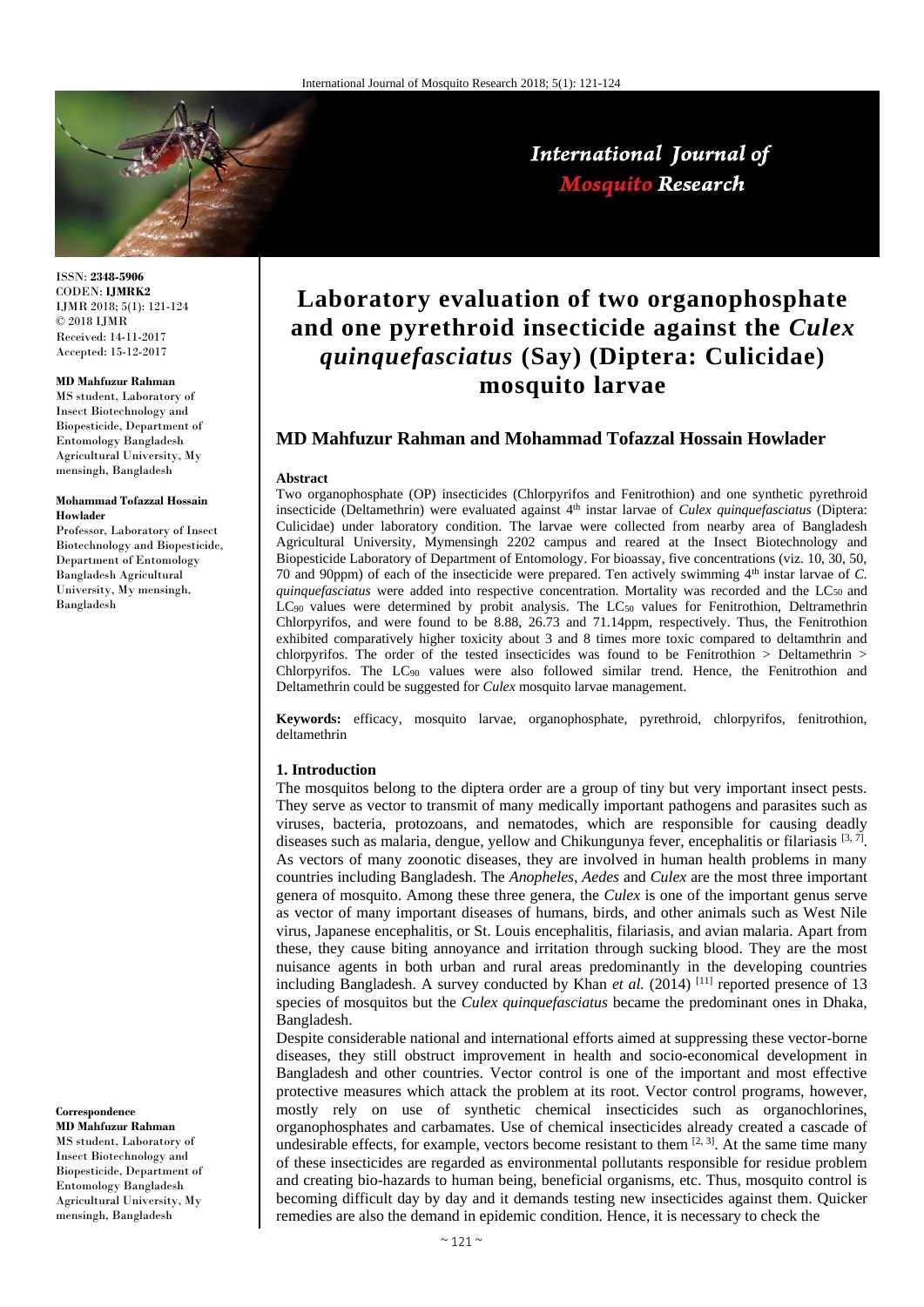

International Journal of **Mosquito Research** 

ISSN: **2348-5906** CODEN: **IJMRK2** IJMR 2018; 5(1): 121-124 © 2018 IJMR Received: 14-11-2017 Accepted: 15-12-2017

#### **MD Mahfuzur Rahman**

MS student, Laboratory of Insect Biotechnology and Biopesticide, Department of Entomology Bangladesh Agricultural University, My mensingh, Bangladesh

#### **Mohammad Tofazzal Hossain Howlader**

Professor, Laboratory of Insect Biotechnology and Biopesticide, Department of Entomology Bangladesh Agricultural University, My mensingh, Bangladesh

# **Correspondence**

**MD Mahfuzur Rahman** MS student, Laboratory of Insect Biotechnology and Biopesticide, Department of Entomology Bangladesh Agricultural University, My mensingh, Bangladesh

# **Laboratory evaluation of two organophosphate and one pyrethroid insecticide against the** *Culex quinquefasciatus* **(Say) (Diptera: Culicidae) mosquito larvae**

## **MD Mahfuzur Rahman and Mohammad Tofazzal Hossain Howlader**

#### **Abstract**

Two organophosphate (OP) insecticides (Chlorpyrifos and Fenitrothion) and one synthetic pyrethroid insecticide (Deltamethrin) were evaluated against 4<sup>th</sup> instar larvae of *Culex quinquefasciatus* (Diptera: Culicidae) under laboratory condition. The larvae were collected from nearby area of Bangladesh Agricultural University, Mymensingh 2202 campus and reared at the Insect Biotechnology and Biopesticide Laboratory of Department of Entomology. For bioassay, five concentrations (viz. 10, 30, 50, 70 and 90ppm) of each of the insecticide were prepared. Ten actively swimming 4th instar larvae of *C. quinquefasciatus* were added into respective concentration. Mortality was recorded and the LC<sub>50</sub> and  $LC_{90}$  values were determined by probit analysis. The  $LC_{50}$  values for Fenitrothion, Deltramethrin Chlorpyrifos, and were found to be 8.88, 26.73 and 71.14ppm, respectively. Thus, the Fenitrothion exhibited comparatively higher toxicity about 3 and 8 times more toxic compared to deltamthrin and chlorpyrifos. The order of the tested insecticides was found to be Fenitrothion > Deltamethrin > Chlorpyrifos. The LC<sup>90</sup> values were also followed similar trend. Hence, the Fenitrothion and Deltamethrin could be suggested for *Culex* mosquito larvae management.

**Keywords:** efficacy, mosquito larvae, organophosphate, pyrethroid, chlorpyrifos, fenitrothion, deltamethrin

#### **1. Introduction**

The mosquitos belong to the diptera order are a group of tiny but very important insect pests. They serve as vector to transmit of many medically important pathogens and parasites such as viruses, bacteria, protozoans, and nematodes, which are responsible for causing deadly diseases such as malaria, dengue, yellow and Chikungunya fever, encephalitis or filariasis [3,7]. As vectors of many zoonotic diseases, they are involved in human health problems in many countries including Bangladesh. The *Anopheles, Aedes* and *Culex* are the most three important genera of mosquito. Among these three genera, the *Culex* is one of the important genus serve as vector of many important diseases of humans, birds, and other animals such as West Nile virus, Japanese encephalitis, or St. Louis encephalitis, filariasis, and avian malaria. Apart from these, they cause biting annoyance and irritation through sucking blood. They are the most nuisance agents in both urban and rural areas predominantly in the developing countries including Bangladesh. A survey conducted by Khan et al. (2014) <sup>[11]</sup> reported presence of 13 species of mosquitos but the *Culex quinquefasciatus* became the predominant ones in Dhaka, Bangladesh.

Despite considerable national and international efforts aimed at suppressing these vector-borne diseases, they still obstruct improvement in health and socio-economical development in Bangladesh and other countries. Vector control is one of the important and most effective protective measures which attack the problem at its root. Vector control programs, however, mostly rely on use of synthetic chemical insecticides such as organochlorines, organophosphates and carbamates. Use of chemical insecticides already created a cascade of undesirable effects, for example, vectors become resistant to them  $[2, 3]$ . At the same time many of these insecticides are regarded as environmental pollutants responsible for residue problem and creating bio-hazards to human being, beneficial organisms, etc. Thus, mosquito control is becoming difficult day by day and it demands testing new insecticides against them. Quicker remedies are also the demand in epidemic condition. Hence, it is necessary to check the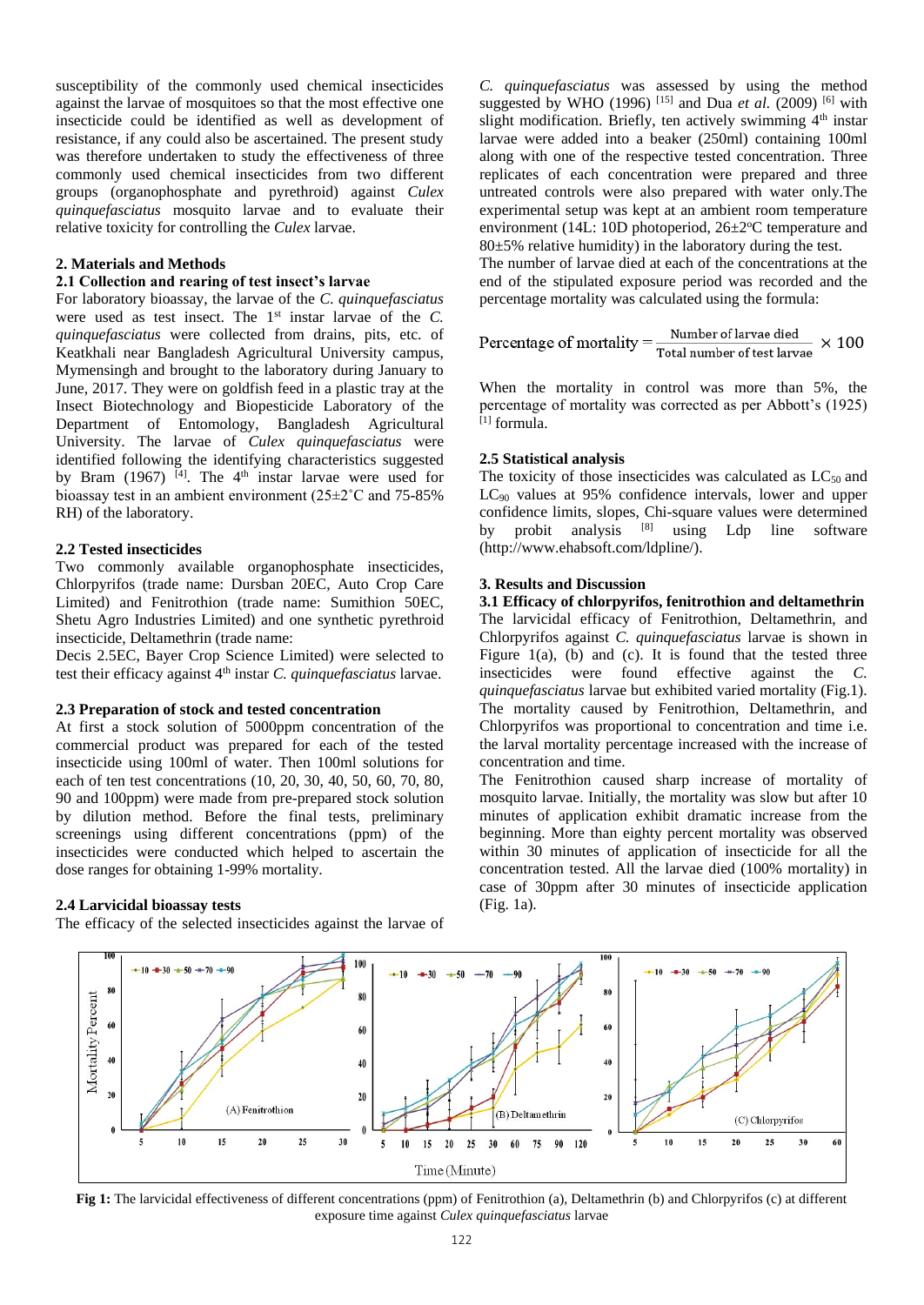susceptibility of the commonly used chemical insecticides against the larvae of mosquitoes so that the most effective one insecticide could be identified as well as development of resistance, if any could also be ascertained. The present study was therefore undertaken to study the effectiveness of three commonly used chemical insecticides from two different groups (organophosphate and pyrethroid) against *Culex quinquefasciatus* mosquito larvae and to evaluate their relative toxicity for controlling the *Culex* larvae.

#### **2. Materials and Methods**

### **2.1 Collection and rearing of test insect's larvae**

For laboratory bioassay, the larvae of the *C. quinquefasciatus* were used as test insect. The 1<sup>st</sup> instar larvae of the *C*. *quinquefasciatus* were collected from drains, pits, etc. of Keatkhali near Bangladesh Agricultural University campus, Mymensingh and brought to the laboratory during January to June, 2017. They were on goldfish feed in a plastic tray at the Insect Biotechnology and Biopesticide Laboratory of the Department of Entomology, Bangladesh Agricultural University. The larvae of *Culex quinquefasciatus* were identified following the identifying characteristics suggested by Bram (1967)  $[4]$ . The 4<sup>th</sup> instar larvae were used for bioassay test in an ambient environment (25±2˚C and 75-85% RH) of the laboratory.

### **2.2 Tested insecticides**

Two commonly available organophosphate insecticides, Chlorpyrifos (trade name: Dursban 20EC, Auto Crop Care Limited) and Fenitrothion (trade name: Sumithion 50EC, Shetu Agro Industries Limited) and one synthetic pyrethroid insecticide, Deltamethrin (trade name:

Decis 2.5EC, Bayer Crop Science Limited) were selected to test their efficacy against 4th instar *C. quinquefasciatus* larvae.

### **2.3 Preparation of stock and tested concentration**

At first a stock solution of 5000ppm concentration of the commercial product was prepared for each of the tested insecticide using 100ml of water. Then 100ml solutions for each of ten test concentrations (10, 20, 30, 40, 50, 60, 70, 80, 90 and 100ppm) were made from pre-prepared stock solution by dilution method. Before the final tests, preliminary screenings using different concentrations (ppm) of the insecticides were conducted which helped to ascertain the dose ranges for obtaining 1-99% mortality.

#### **2.4 Larvicidal bioassay tests**

The efficacy of the selected insecticides against the larvae of

*C. quinquefasciatus* was assessed by using the method suggested by WHO (1996) <sup>[15]</sup> and Dua *et al.* (2009) <sup>[6]</sup> with slight modification. Briefly, ten actively swimming  $4<sup>th</sup>$  instar larvae were added into a beaker (250ml) containing 100ml along with one of the respective tested concentration. Three replicates of each concentration were prepared and three untreated controls were also prepared with water only.The experimental setup was kept at an ambient room temperature environment (14L: 10D photoperiod,  $26\pm2\degree$ C temperature and  $80±5%$  relative humidity) in the laboratory during the test.

The number of larvae died at each of the concentrations at the end of the stipulated exposure period was recorded and the percentage mortality was calculated using the formula:

Percentage of mortality = 
$$
\frac{\text{Number of larvae died}}{\text{Total number of test larvae}} \times 100
$$

When the mortality in control was more than 5%, the percentage of mortality was corrected as per Abbott's (1925)  $[1]$  formula.

#### **2.5 Statistical analysis**

The toxicity of those insecticides was calculated as  $LC_{50}$  and LC<sup>90</sup> values at 95% confidence intervals, lower and upper confidence limits, slopes, Chi-square values were determined by probit analysis <sup>[8]</sup> using Ldp line software (http://www.ehabsoft.com/ldpline/).

## **3. Results and Discussion**

**3.1 Efficacy of chlorpyrifos, fenitrothion and deltamethrin** The larvicidal efficacy of Fenitrothion, Deltamethrin, and Chlorpyrifos against *C. quinquefasciatus* larvae is shown in Figure  $1(a)$ , (b) and (c). It is found that the tested three insecticides were found effective against the *C. quinquefasciatus* larvae but exhibited varied mortality (Fig.1). The mortality caused by Fenitrothion, Deltamethrin, and Chlorpyrifos was proportional to concentration and time i.e. the larval mortality percentage increased with the increase of concentration and time.

The Fenitrothion caused sharp increase of mortality of mosquito larvae. Initially, the mortality was slow but after 10 minutes of application exhibit dramatic increase from the beginning. More than eighty percent mortality was observed within 30 minutes of application of insecticide for all the concentration tested. All the larvae died (100% mortality) in case of 30ppm after 30 minutes of insecticide application (Fig. 1a).



**Fig 1:** The larvicidal effectiveness of different concentrations (ppm) of Fenitrothion (a), Deltamethrin (b) and Chlorpyrifos (c) at different exposure time against *Culex quinquefasciatus* larvae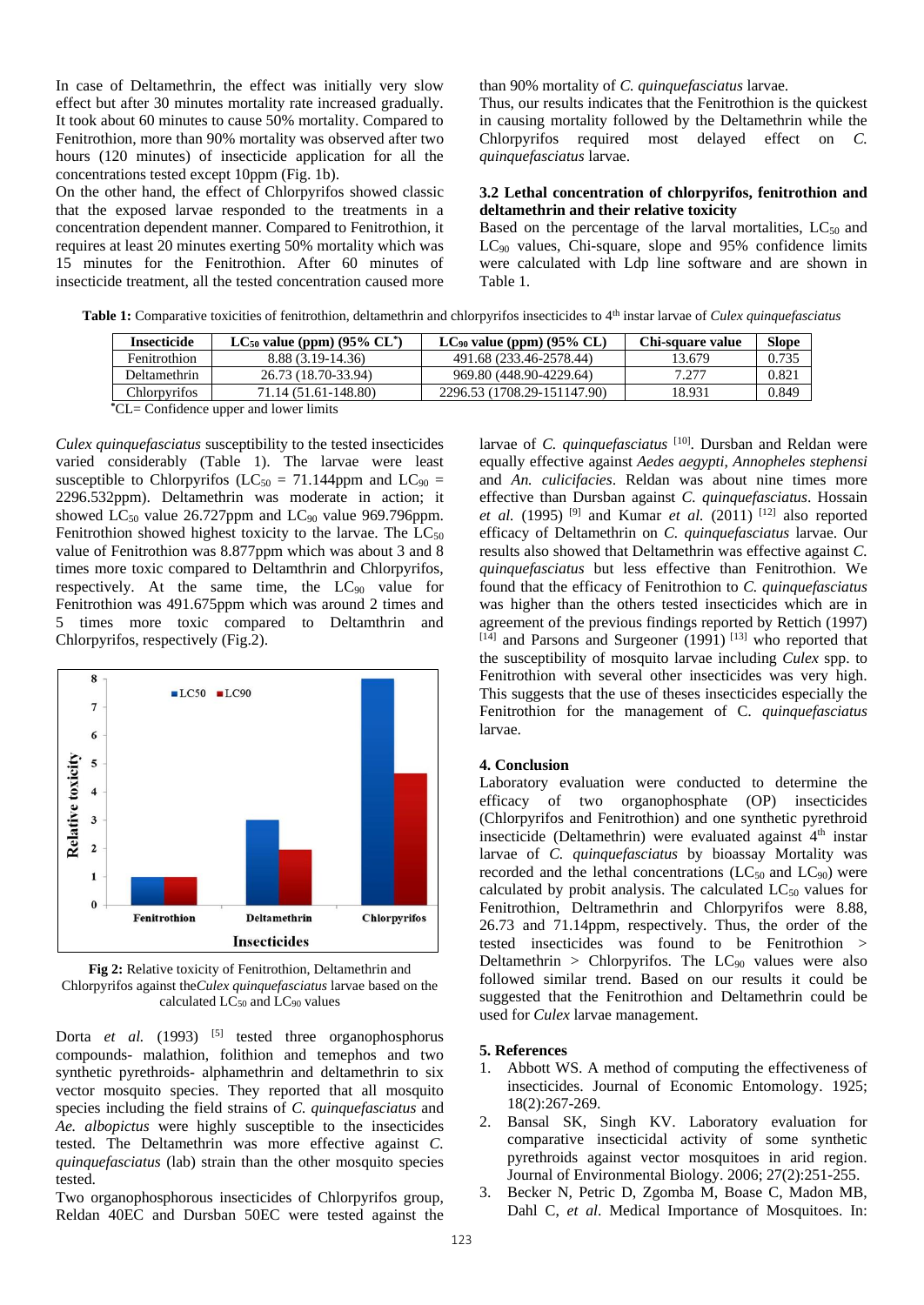In case of Deltamethrin, the effect was initially very slow effect but after 30 minutes mortality rate increased gradually. It took about 60 minutes to cause 50% mortality. Compared to Fenitrothion, more than 90% mortality was observed after two hours (120 minutes) of insecticide application for all the concentrations tested except 10ppm (Fig. 1b).

On the other hand, the effect of Chlorpyrifos showed classic that the exposed larvae responded to the treatments in a concentration dependent manner. Compared to Fenitrothion, it requires at least 20 minutes exerting 50% mortality which was 15 minutes for the Fenitrothion. After 60 minutes of insecticide treatment, all the tested concentration caused more than 90% mortality of *C. quinquefasciatus* larvae.

Thus, our results indicates that the Fenitrothion is the quickest in causing mortality followed by the Deltamethrin while the Chlorpyrifos required most delayed effect on *C. quinquefasciatus* larvae.

### **3.2 Lethal concentration of chlorpyrifos, fenitrothion and deltamethrin and their relative toxicity**

Based on the percentage of the larval mortalities,  $LC_{50}$  and LC<sup>90</sup> values, Chi-square, slope and 95% confidence limits were calculated with Ldp line software and are shown in Table 1.

Table 1: Comparative toxicities of fenitrothion, deltamethrin and chlorpyrifos insecticides to 4<sup>th</sup> instar larvae of *Culex quinquefasciatus* 

| Insecticide                                                                                                                                                                                                                    | $LC_{50}$ value (ppm) (95% $CL^*$ ) | $LC_{90}$ value (ppm) (95% CL) | Chi-square value | <b>Slope</b> |
|--------------------------------------------------------------------------------------------------------------------------------------------------------------------------------------------------------------------------------|-------------------------------------|--------------------------------|------------------|--------------|
| Fenitrothion                                                                                                                                                                                                                   | $8.88(3.19-14.36)$                  | 491.68 (233.46-2578.44)        | 13.679           | 0.735        |
| Deltamethrin                                                                                                                                                                                                                   | 26.73 (18.70-33.94)                 | 969.80 (448.90-4229.64)        | 7.277            | 0.821        |
| Chlorpyrifos                                                                                                                                                                                                                   | 71.14 (51.61-148.80)                | 2296.53 (1708.29-151147.90)    | 18.931           | 0.849        |
| the contract of the contract of the contract of the contract of the contract of the contract of the contract of the contract of the contract of the contract of the contract of the contract of the contract of the contract o |                                     |                                |                  |              |

**\***CL= Confidence upper and lower limits

*Culex quinquefasciatus* susceptibility to the tested insecticides varied considerably (Table 1). The larvae were least susceptible to Chlorpyrifos ( $LC_{50} = 71.144$ ppm and  $LC_{90} =$ 2296.532ppm). Deltamethrin was moderate in action; it showed  $LC_{50}$  value 26.727ppm and  $LC_{90}$  value 969.796ppm. Fenitrothion showed highest toxicity to the larvae. The  $LC_{50}$ value of Fenitrothion was 8.877ppm which was about 3 and 8 times more toxic compared to Deltamthrin and Chlorpyrifos, respectively. At the same time, the  $LC_{90}$  value for Fenitrothion was 491.675ppm which was around 2 times and 5 times more toxic compared to Deltamthrin and Chlorpyrifos, respectively (Fig.2).



**Fig 2:** Relative toxicity of Fenitrothion, Deltamethrin and Chlorpyrifos against the*Culex quinquefasciatus* larvae based on the calculated  $LC_{50}$  and  $LC_{90}$  values

Dorta *et al.* (1993) <sup>[5]</sup> tested three organophosphorus compounds- malathion, folithion and temephos and two synthetic pyrethroids- alphamethrin and deltamethrin to six vector mosquito species. They reported that all mosquito species including the field strains of *C. quinquefasciatus* and *Ae. albopictus* were highly susceptible to the insecticides tested. The Deltamethrin was more effective against *C. quinquefasciatus* (lab) strain than the other mosquito species tested.

Two organophosphorous insecticides of Chlorpyrifos group, Reldan 40EC and Dursban 50EC were tested against the larvae of *C. quinquefasciatus* [10]. Dursban and Reldan were equally effective against *Aedes aegypti*, *Annopheles stephensi* and *An. culicifacies*. Reldan was about nine times more effective than Dursban against *C. quinquefasciatus*. Hossain *et al.* (1995)<sup>[9]</sup> and Kumar *et al.* (2011)<sup>[12]</sup> also reported efficacy of Deltamethrin on *C. quinquefasciatus* larvae. Our results also showed that Deltamethrin was effective against *C. quinquefasciatus* but less effective than Fenitrothion. We found that the efficacy of Fenitrothion to *C. quinquefasciatus* was higher than the others tested insecticides which are in agreement of the previous findings reported by Rettich (1997)  $[14]$  and Parsons and Surgeoner (1991)  $[13]$  who reported that the susceptibility of mosquito larvae including *Culex* spp. to Fenitrothion with several other insecticides was very high. This suggests that the use of theses insecticides especially the Fenitrothion for the management of C*. quinquefasciatus* larvae.

## **4. Conclusion**

Laboratory evaluation were conducted to determine the efficacy of two organophosphate (OP) insecticides (Chlorpyrifos and Fenitrothion) and one synthetic pyrethroid insecticide (Deltamethrin) were evaluated against 4<sup>th</sup> instar larvae of *C. quinquefasciatus* by bioassay Mortality was recorded and the lethal concentrations  $(LC_{50}$  and  $LC_{90})$  were calculated by probit analysis. The calculated  $LC_{50}$  values for Fenitrothion, Deltramethrin and Chlorpyrifos were 8.88, 26.73 and 71.14ppm, respectively. Thus, the order of the tested insecticides was found to be Fenitrothion > Deltamethrin > Chlorpyrifos. The  $LC_{90}$  values were also followed similar trend. Based on our results it could be suggested that the Fenitrothion and Deltamethrin could be used for *Culex* larvae management.

## **5. References**

- 1. Abbott WS. A method of computing the effectiveness of insecticides. Journal of Economic Entomology. 1925; 18(2):267-269.
- 2. Bansal SK, Singh KV. Laboratory evaluation for comparative insecticidal activity of some synthetic pyrethroids against vector mosquitoes in arid region. Journal of Environmental Biology. 2006; 27(2):251-255.
- 3. Becker N, Petric D, Zgomba M, Boase C, Madon MB, Dahl C, *et al*. Medical Importance of Mosquitoes. In: